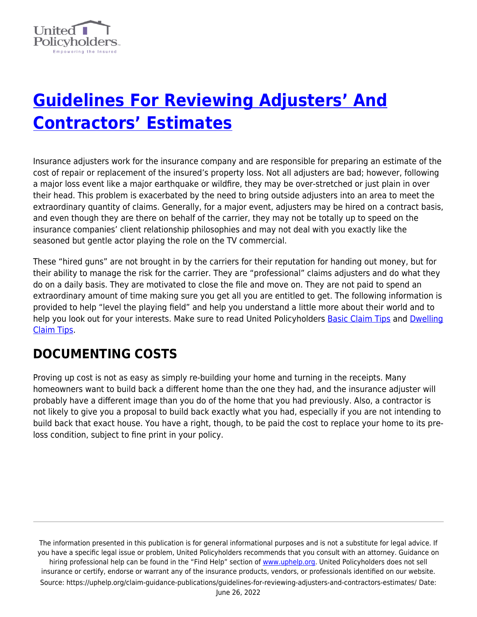

# **[Guidelines For Reviewing Adjusters' And](https://uphelp.org/claim-guidance-publications/guidelines-for-reviewing-adjusters-and-contractors-estimates/) [Contractors' Estimates](https://uphelp.org/claim-guidance-publications/guidelines-for-reviewing-adjusters-and-contractors-estimates/)**

Insurance adjusters work for the insurance company and are responsible for preparing an estimate of the cost of repair or replacement of the insured's property loss. Not all adjusters are bad; however, following a major loss event like a major earthquake or wildfire, they may be over-stretched or just plain in over their head. This problem is exacerbated by the need to bring outside adjusters into an area to meet the extraordinary quantity of claims. Generally, for a major event, adjusters may be hired on a contract basis, and even though they are there on behalf of the carrier, they may not be totally up to speed on the insurance companies' client relationship philosophies and may not deal with you exactly like the seasoned but gentle actor playing the role on the TV commercial.

These "hired guns" are not brought in by the carriers for their reputation for handing out money, but for their ability to manage the risk for the carrier. They are "professional" claims adjusters and do what they do on a daily basis. They are motivated to close the file and move on. They are not paid to spend an extraordinary amount of time making sure you get all you are entitled to get. The following information is provided to help "level the playing field" and help you understand a little more about their world and to help you look out for your interests. Make sure to read United Policyholders [Basic Claim Tips](https://uphelp.org/claim-guidance-publications/general-claim-tips/) and [Dwelling](https://uphelp.org/claim-guidance-publications/insurance-recovery-tips-for-the-dwelling-part-of-your-claim/) [Claim Tips](https://uphelp.org/claim-guidance-publications/insurance-recovery-tips-for-the-dwelling-part-of-your-claim/).

#### **DOCUMENTING COSTS**

Proving up cost is not as easy as simply re-building your home and turning in the receipts. Many homeowners want to build back a different home than the one they had, and the insurance adjuster will probably have a different image than you do of the home that you had previously. Also, a contractor is not likely to give you a proposal to build back exactly what you had, especially if you are not intending to build back that exact house. You have a right, though, to be paid the cost to replace your home to its preloss condition, subject to fine print in your policy.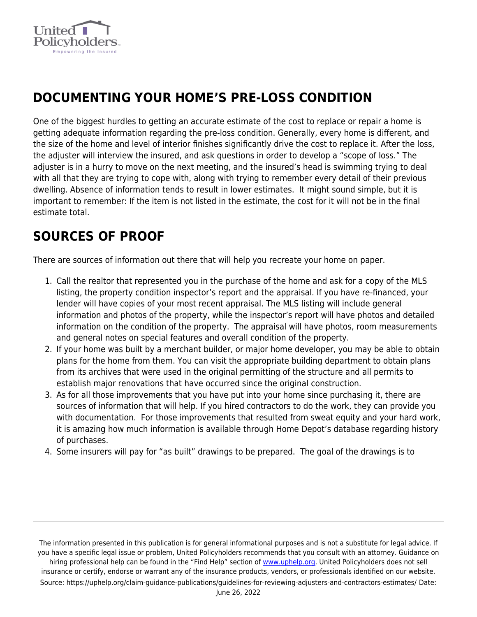

## **DOCUMENTING YOUR HOME'S PRE-LOSS CONDITION**

One of the biggest hurdles to getting an accurate estimate of the cost to replace or repair a home is getting adequate information regarding the pre-loss condition. Generally, every home is different, and the size of the home and level of interior finishes significantly drive the cost to replace it. After the loss, the adjuster will interview the insured, and ask questions in order to develop a "scope of loss." The adjuster is in a hurry to move on the next meeting, and the insured's head is swimming trying to deal with all that they are trying to cope with, along with trying to remember every detail of their previous dwelling. Absence of information tends to result in lower estimates. It might sound simple, but it is important to remember: If the item is not listed in the estimate, the cost for it will not be in the final estimate total.

## **SOURCES OF PROOF**

There are sources of information out there that will help you recreate your home on paper.

- 1. Call the realtor that represented you in the purchase of the home and ask for a copy of the MLS listing, the property condition inspector's report and the appraisal. If you have re-financed, your lender will have copies of your most recent appraisal. The MLS listing will include general information and photos of the property, while the inspector's report will have photos and detailed information on the condition of the property. The appraisal will have photos, room measurements and general notes on special features and overall condition of the property.
- 2. If your home was built by a merchant builder, or major home developer, you may be able to obtain plans for the home from them. You can visit the appropriate building department to obtain plans from its archives that were used in the original permitting of the structure and all permits to establish major renovations that have occurred since the original construction.
- 3. As for all those improvements that you have put into your home since purchasing it, there are sources of information that will help. If you hired contractors to do the work, they can provide you with documentation. For those improvements that resulted from sweat equity and your hard work, it is amazing how much information is available through Home Depot's database regarding history of purchases.
- 4. Some insurers will pay for "as built" drawings to be prepared. The goal of the drawings is to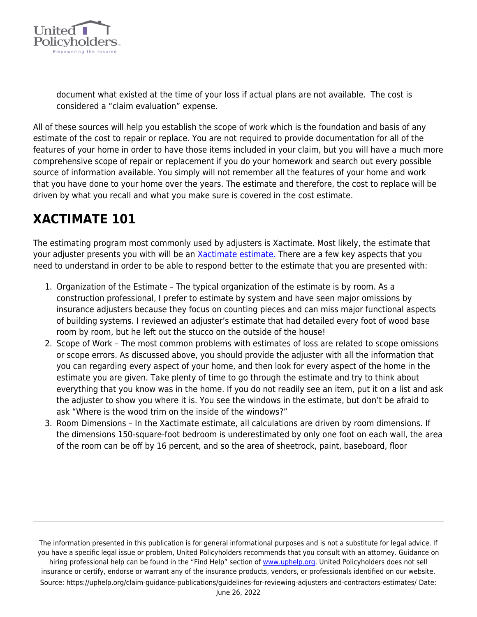

document what existed at the time of your loss if actual plans are not available. The cost is considered a "claim evaluation" expense.

All of these sources will help you establish the scope of work which is the foundation and basis of any estimate of the cost to repair or replace. You are not required to provide documentation for all of the features of your home in order to have those items included in your claim, but you will have a much more comprehensive scope of repair or replacement if you do your homework and search out every possible source of information available. You simply will not remember all the features of your home and work that you have done to your home over the years. The estimate and therefore, the cost to replace will be driven by what you recall and what you make sure is covered in the cost estimate.

# **XACTIMATE 101**

The estimating program most commonly used by adjusters is Xactimate. Most likely, the estimate that your adjuster presents you with will be an [Xactimate estimate.](https://uphelp.org/claim-guidance-publications/xactimate-demystified/) There are a few key aspects that you need to understand in order to be able to respond better to the estimate that you are presented with:

- 1. Organization of the Estimate The typical organization of the estimate is by room. As a construction professional, I prefer to estimate by system and have seen major omissions by insurance adjusters because they focus on counting pieces and can miss major functional aspects of building systems. I reviewed an adjuster's estimate that had detailed every foot of wood base room by room, but he left out the stucco on the outside of the house!
- 2. Scope of Work The most common problems with estimates of loss are related to scope omissions or scope errors. As discussed above, you should provide the adjuster with all the information that you can regarding every aspect of your home, and then look for every aspect of the home in the estimate you are given. Take plenty of time to go through the estimate and try to think about everything that you know was in the home. If you do not readily see an item, put it on a list and ask the adjuster to show you where it is. You see the windows in the estimate, but don't be afraid to ask "Where is the wood trim on the inside of the windows?"
- 3. Room Dimensions In the Xactimate estimate, all calculations are driven by room dimensions. If the dimensions 150-square-foot bedroom is underestimated by only one foot on each wall, the area of the room can be off by 16 percent, and so the area of sheetrock, paint, baseboard, floor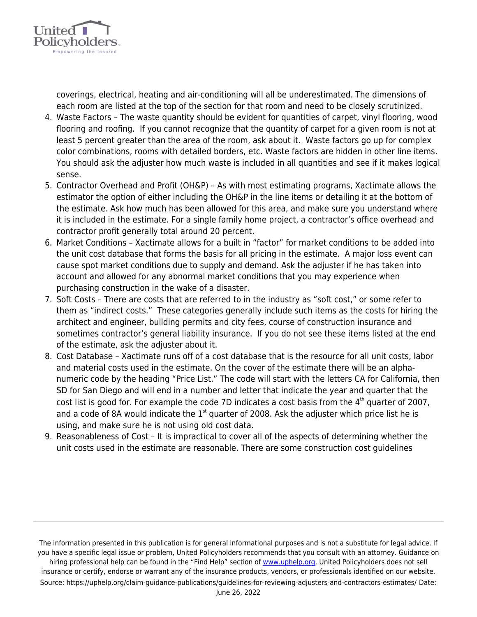

**United** 

Policyholde

Empowering the Insured

- 4. Waste Factors The waste quantity should be evident for quantities of carpet, vinyl flooring, wood flooring and roofing. If you cannot recognize that the quantity of carpet for a given room is not at least 5 percent greater than the area of the room, ask about it. Waste factors go up for complex color combinations, rooms with detailed borders, etc. Waste factors are hidden in other line items. You should ask the adjuster how much waste is included in all quantities and see if it makes logical sense.
- 5. Contractor Overhead and Profit (OH&P) As with most estimating programs, Xactimate allows the estimator the option of either including the OH&P in the line items or detailing it at the bottom of the estimate. Ask how much has been allowed for this area, and make sure you understand where it is included in the estimate. For a single family home project, a contractor's office overhead and contractor profit generally total around 20 percent.
- 6. Market Conditions Xactimate allows for a built in "factor" for market conditions to be added into the unit cost database that forms the basis for all pricing in the estimate. A major loss event can cause spot market conditions due to supply and demand. Ask the adjuster if he has taken into account and allowed for any abnormal market conditions that you may experience when purchasing construction in the wake of a disaster.
- 7. Soft Costs There are costs that are referred to in the industry as "soft cost," or some refer to them as "indirect costs." These categories generally include such items as the costs for hiring the architect and engineer, building permits and city fees, course of construction insurance and sometimes contractor's general liability insurance. If you do not see these items listed at the end of the estimate, ask the adjuster about it.
- 8. Cost Database Xactimate runs off of a cost database that is the resource for all unit costs, labor and material costs used in the estimate. On the cover of the estimate there will be an alphanumeric code by the heading "Price List." The code will start with the letters CA for California, then SD for San Diego and will end in a number and letter that indicate the year and quarter that the cost list is good for. For example the code 7D indicates a cost basis from the  $4<sup>th</sup>$  quarter of 2007, and a code of 8A would indicate the  $1<sup>st</sup>$  quarter of 2008. Ask the adjuster which price list he is using, and make sure he is not using old cost data.
- 9. Reasonableness of Cost It is impractical to cover all of the aspects of determining whether the unit costs used in the estimate are reasonable. There are some construction cost guidelines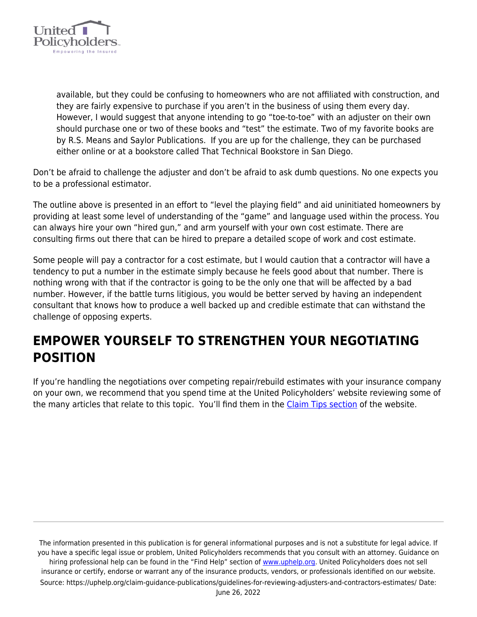

available, but they could be confusing to homeowners who are not affiliated with construction, and they are fairly expensive to purchase if you aren't in the business of using them every day. However, I would suggest that anyone intending to go "toe-to-toe" with an adjuster on their own should purchase one or two of these books and "test" the estimate. Two of my favorite books are by R.S. Means and Saylor Publications. If you are up for the challenge, they can be purchased either online or at a bookstore called That Technical Bookstore in San Diego.

Don't be afraid to challenge the adjuster and don't be afraid to ask dumb questions. No one expects you to be a professional estimator.

The outline above is presented in an effort to "level the playing field" and aid uninitiated homeowners by providing at least some level of understanding of the "game" and language used within the process. You can always hire your own "hired gun," and arm yourself with your own cost estimate. There are consulting firms out there that can be hired to prepare a detailed scope of work and cost estimate.

Some people will pay a contractor for a cost estimate, but I would caution that a contractor will have a tendency to put a number in the estimate simply because he feels good about that number. There is nothing wrong with that if the contractor is going to be the only one that will be affected by a bad number. However, if the battle turns litigious, you would be better served by having an independent consultant that knows how to produce a well backed up and credible estimate that can withstand the challenge of opposing experts.

#### **EMPOWER YOURSELF TO STRENGTHEN YOUR NEGOTIATING POSITION**

If you're handling the negotiations over competing repair/rebuild estimates with your insurance company on your own, we recommend that you spend time at the United Policyholders' website reviewing some of the many articles that relate to this topic. You'll find them in the [Claim Tips section](https://uphelp.org/claim-guidance-publications/) of the website.